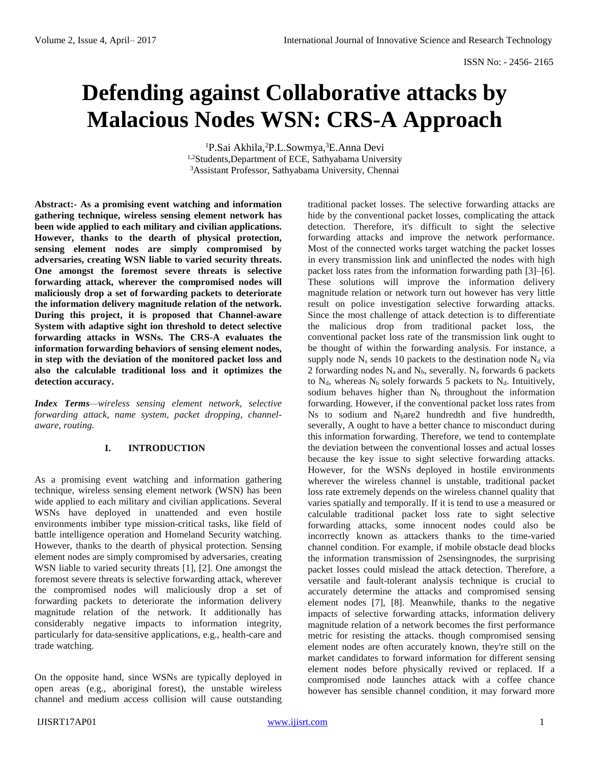# **Defending against Collaborative attacks by Malacious Nodes WSN: CRS-A Approach**

<sup>1</sup>P.Sai Akhila, <sup>2</sup>P.L.Sowmya, <sup>3</sup>E.Anna Devi <sup>1,2</sup>Students,Department of ECE, Sathyabama University <sup>3</sup>Assistant Professor, Sathyabama University, Chennai

**Abstract:- As a promising event watching and information gathering technique, wireless sensing element network has been wide applied to each military and civilian applications. However, thanks to the dearth of physical protection, sensing element nodes are simply compromised by adversaries, creating WSN liable to varied security threats. One amongst the foremost severe threats is selective forwarding attack, wherever the compromised nodes will maliciously drop a set of forwarding packets to deteriorate the information delivery magnitude relation of the network. During this project, it is proposed that Channel-aware System with adaptive sight ion threshold to detect selective forwarding attacks in WSNs. The CRS-A evaluates the information forwarding behaviors of sensing element nodes, in step with the deviation of the monitored packet loss and also the calculable traditional loss and it optimizes the detection accuracy.**

*Index Terms—wireless sensing element network, selective forwarding attack, name system, packet dropping, channelaware, routing.*

# **I. INTRODUCTION**

As a promising event watching and information gathering technique, wireless sensing element network (WSN) has been wide applied to each military and civilian applications. Several WSNs have deployed in unattended and even hostile environments imbiber type mission-critical tasks, like field of battle intelligence operation and Homeland Security watching. However, thanks to the dearth of physical protection. Sensing element nodes are simply compromised by adversaries, creating WSN liable to varied security threats [1], [2]. One amongst the foremost severe threats is selective forwarding attack, wherever the compromised nodes will maliciously drop a set of forwarding packets to deteriorate the information delivery magnitude relation of the network. It additionally has considerably negative impacts to information integrity, particularly for data-sensitive applications, e.g., health-care and trade watching.

On the opposite hand, since WSNs are typically deployed in open areas (e.g., aboriginal forest), the unstable wireless channel and medium access collision will cause outstanding traditional packet losses. The selective forwarding attacks are hide by the conventional packet losses, complicating the attack detection. Therefore, it's difficult to sight the selective forwarding attacks and improve the network performance. Most of the connected works target watching the packet losses in every transmission link and uninflected the nodes with high packet loss rates from the information forwarding path [3]–[6]. These solutions will improve the information delivery magnitude relation or network turn out however has very little result on police investigation selective forwarding attacks. Since the most challenge of attack detection is to differentiate the malicious drop from traditional packet loss, the conventional packet loss rate of the transmission link ought to be thought of within the forwarding analysis. For instance, a supply node  $N_s$  sends 10 packets to the destination node  $N_d$  via 2 forwarding nodes  $N_a$  and  $N_b$ , severally.  $N_a$  forwards 6 packets to  $N_d$ , whereas  $N_b$  solely forwards 5 packets to  $N_d$ . Intuitively, sodium behaves higher than  $N_b$  throughout the information forwarding. However, if the conventional packet loss rates from Ns to sodium and N<sub>b</sub>are2 hundredth and five hundredth, severally, A ought to have a better chance to misconduct during this information forwarding. Therefore, we tend to contemplate the deviation between the conventional losses and actual losses because the key issue to sight selective forwarding attacks. However, for the WSNs deployed in hostile environments wherever the wireless channel is unstable, traditional packet loss rate extremely depends on the wireless channel quality that varies spatially and temporally. If it is tend to use a measured or calculable traditional packet loss rate to sight selective forwarding attacks, some innocent nodes could also be incorrectly known as attackers thanks to the time-varied channel condition. For example, if mobile obstacle dead blocks the information transmission of 2sensingnodes, the surprising packet losses could mislead the attack detection. Therefore, a versatile and fault-tolerant analysis technique is crucial to accurately determine the attacks and compromised sensing element nodes [7], [8]. Meanwhile, thanks to the negative impacts of selective forwarding attacks, information delivery magnitude relation of a network becomes the first performance metric for resisting the attacks. though compromised sensing element nodes are often accurately known, they're still on the market candidates to forward information for different sensing element nodes before physically revived or replaced. If a compromised node launches attack with a coffee chance however has sensible channel condition, it may forward more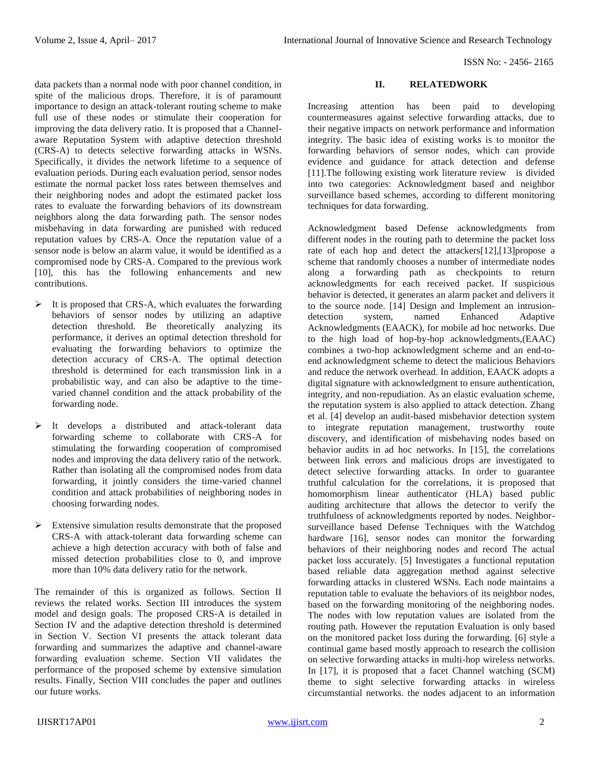data packets than a normal node with poor channel condition, in spite of the malicious drops. Therefore, it is of paramount importance to design an attack-tolerant routing scheme to make full use of these nodes or stimulate their cooperation for improving the data delivery ratio. It is proposed that a Channelaware Reputation System with adaptive detection threshold (CRS-A) to detects selective forwarding attacks in WSNs. Specifically, it divides the network lifetime to a sequence of evaluation periods. During each evaluation period, sensor nodes estimate the normal packet loss rates between themselves and their neighboring nodes and adopt the estimated packet loss rates to evaluate the forwarding behaviors of its downstream neighbors along the data forwarding path. The sensor nodes misbehaving in data forwarding are punished with reduced reputation values by CRS-A. Once the reputation value of a sensor node is below an alarm value, it would be identified as a compromised node by CRS-A. Compared to the previous work [10], this has the following enhancements and new contributions.

- $\triangleright$  It is proposed that CRS-A, which evaluates the forwarding behaviors of sensor nodes by utilizing an adaptive detection threshold. Be theoretically analyzing its performance, it derives an optimal detection threshold for evaluating the forwarding behaviors to optimize the detection accuracy of CRS-A. The optimal detection threshold is determined for each transmission link in a probabilistic way, and can also be adaptive to the timevaried channel condition and the attack probability of the forwarding node.
- > It develops a distributed and attack-tolerant data forwarding scheme to collaborate with CRS-A for stimulating the forwarding cooperation of compromised nodes and improving the data delivery ratio of the network. Rather than isolating all the compromised nodes from data forwarding, it jointly considers the time-varied channel condition and attack probabilities of neighboring nodes in choosing forwarding nodes.
- $\triangleright$  Extensive simulation results demonstrate that the proposed CRS-A with attack-tolerant data forwarding scheme can achieve a high detection accuracy with both of false and missed detection probabilities close to 0, and improve more than 10% data delivery ratio for the network.

The remainder of this is organized as follows. Section II reviews the related works. Section III introduces the system model and design goals. The proposed CRS-A is detailed in Section IV and the adaptive detection threshold is determined in Section V. Section VI presents the attack tolerant data forwarding and summarizes the adaptive and channel-aware forwarding evaluation scheme. Section VII validates the performance of the proposed scheme by extensive simulation results. Finally, Section VIII concludes the paper and outlines our future works.

## **II. RELATEDWORK**

Increasing attention has been paid to developing countermeasures against selective forwarding attacks, due to their negative impacts on network performance and information integrity. The basic idea of existing works is to monitor the forwarding behaviors of sensor nodes, which can provide evidence and guidance for attack detection and defense [11].The following existing work literature review is divided into two categories: Acknowledgment based and neighbor surveillance based schemes, according to different monitoring techniques for data forwarding.

Acknowledgment based Defense acknowledgments from different nodes in the routing path to determine the packet loss rate of each hop and detect the attackers[12],[13]propose a scheme that randomly chooses a number of intermediate nodes along a forwarding path as checkpoints to return acknowledgments for each received packet. If suspicious behavior is detected, it generates an alarm packet and delivers it to the source node. [14] Design and Implement an intrusiondetection system, named Enhanced Adaptive Acknowledgments (EAACK), for mobile ad hoc networks. Due to the high load of hop-by-hop acknowledgments,(EAAC) combines a two-hop acknowledgment scheme and an end-toend acknowledgment scheme to detect the malicious Behaviors and reduce the network overhead. In addition, EAACK adopts a digital signature with acknowledgment to ensure authentication, integrity, and non-repudiation. As an elastic evaluation scheme, the reputation system is also applied to attack detection. Zhang et al. [4] develop an audit-based misbehavior detection system to integrate reputation management, trustworthy route discovery, and identification of misbehaving nodes based on behavior audits in ad hoc networks. In [15], the correlations between link errors and malicious drops are investigated to detect selective forwarding attacks. In order to guarantee truthful calculation for the correlations, it is proposed that homomorphism linear authenticator (HLA) based public auditing architecture that allows the detector to verify the truthfulness of acknowledgments reported by nodes. Neighborsurveillance based Defense Techniques with the Watchdog hardware [16], sensor nodes can monitor the forwarding behaviors of their neighboring nodes and record The actual packet loss accurately. [5] Investigates a functional reputation based reliable data aggregation method against selective forwarding attacks in clustered WSNs. Each node maintains a reputation table to evaluate the behaviors of its neighbor nodes, based on the forwarding monitoring of the neighboring nodes. The nodes with low reputation values are isolated from the routing path. However the reputation Evaluation is only based on the monitored packet loss during the forwarding. [6] style a continual game based mostly approach to research the collision on selective forwarding attacks in multi-hop wireless networks. In [17], it is proposed that a facet Channel watching (SCM) theme to sight selective forwarding attacks in wireless circumstantial networks. the nodes adjacent to an information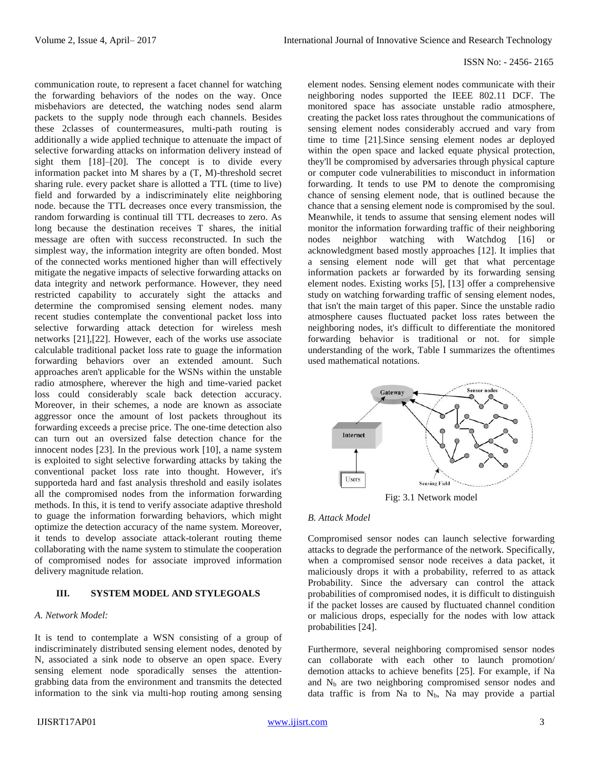communication route, to represent a facet channel for watching the forwarding behaviors of the nodes on the way. Once misbehaviors are detected, the watching nodes send alarm packets to the supply node through each channels. Besides these 2classes of countermeasures, multi-path routing is additionally a wide applied technique to attenuate the impact of selective forwarding attacks on information delivery instead of sight them [18]–[20]. The concept is to divide every information packet into M shares by a (T, M)-threshold secret sharing rule. every packet share is allotted a TTL (time to live) field and forwarded by a indiscriminately elite neighboring node. because the TTL decreases once every transmission, the random forwarding is continual till TTL decreases to zero. As long because the destination receives T shares, the initial message are often with success reconstructed. In such the simplest way, the information integrity are often bonded. Most of the connected works mentioned higher than will effectively mitigate the negative impacts of selective forwarding attacks on data integrity and network performance. However, they need restricted capability to accurately sight the attacks and determine the compromised sensing element nodes. many recent studies contemplate the conventional packet loss into selective forwarding attack detection for wireless mesh networks [21],[22]. However, each of the works use associate calculable traditional packet loss rate to guage the information forwarding behaviors over an extended amount. Such approaches aren't applicable for the WSNs within the unstable radio atmosphere, wherever the high and time-varied packet loss could considerably scale back detection accuracy. Moreover, in their schemes, a node are known as associate aggressor once the amount of lost packets throughout its forwarding exceeds a precise price. The one-time detection also can turn out an oversized false detection chance for the innocent nodes [23]. In the previous work [10], a name system is exploited to sight selective forwarding attacks by taking the conventional packet loss rate into thought. However, it's supporteda hard and fast analysis threshold and easily isolates all the compromised nodes from the information forwarding methods. In this, it is tend to verify associate adaptive threshold to guage the information forwarding behaviors, which might optimize the detection accuracy of the name system. Moreover, it tends to develop associate attack-tolerant routing theme collaborating with the name system to stimulate the cooperation of compromised nodes for associate improved information delivery magnitude relation.

## **III. SYSTEM MODEL AND STYLEGOALS**

### *A. Network Model:*

It is tend to contemplate a WSN consisting of a group of indiscriminately distributed sensing element nodes, denoted by N, associated a sink node to observe an open space. Every sensing element node sporadically senses the attentiongrabbing data from the environment and transmits the detected information to the sink via multi-hop routing among sensing element nodes. Sensing element nodes communicate with their neighboring nodes supported the IEEE 802.11 DCF. The monitored space has associate unstable radio atmosphere, creating the packet loss rates throughout the communications of sensing element nodes considerably accrued and vary from time to time [21].Since sensing element nodes ar deployed within the open space and lacked equate physical protection, they'll be compromised by adversaries through physical capture or computer code vulnerabilities to misconduct in information forwarding. It tends to use PM to denote the compromising chance of sensing element node, that is outlined because the chance that a sensing element node is compromised by the soul. Meanwhile, it tends to assume that sensing element nodes will monitor the information forwarding traffic of their neighboring nodes neighbor watching with Watchdog [16] or acknowledgment based mostly approaches [12]. It implies that a sensing element node will get that what percentage information packets ar forwarded by its forwarding sensing element nodes. Existing works [5], [13] offer a comprehensive study on watching forwarding traffic of sensing element nodes, that isn't the main target of this paper. Since the unstable radio atmosphere causes fluctuated packet loss rates between the neighboring nodes, it's difficult to differentiate the monitored forwarding behavior is traditional or not. for simple understanding of the work, Table I summarizes the oftentimes used mathematical notations.



#### *B. Attack Model*

Compromised sensor nodes can launch selective forwarding attacks to degrade the performance of the network. Specifically, when a compromised sensor node receives a data packet, it maliciously drops it with a probability, referred to as attack Probability. Since the adversary can control the attack probabilities of compromised nodes, it is difficult to distinguish if the packet losses are caused by fluctuated channel condition or malicious drops, especially for the nodes with low attack probabilities [24].

Furthermore, several neighboring compromised sensor nodes can collaborate with each other to launch promotion/ demotion attacks to achieve benefits [25]. For example, if Na and  $N_b$  are two neighboring compromised sensor nodes and data traffic is from Na to  $N_b$ , Na may provide a partial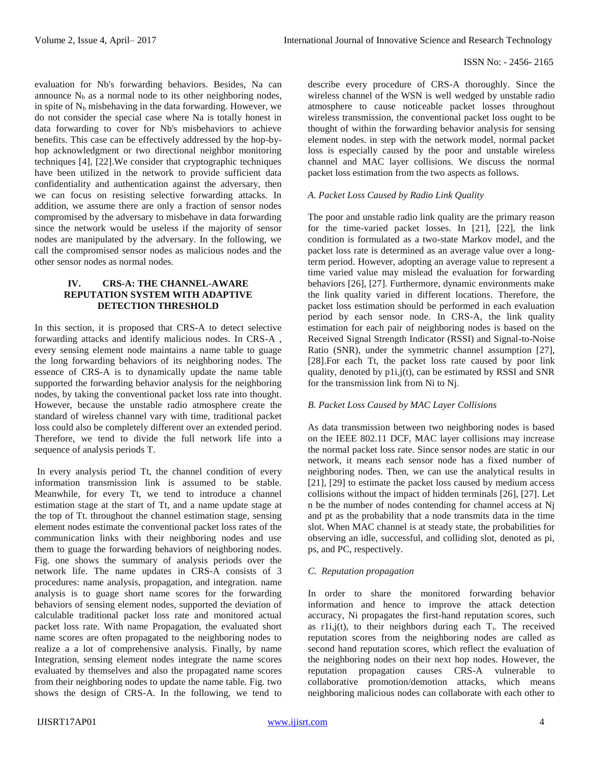evaluation for Nb's forwarding behaviors. Besides, Na can announce  $N_b$  as a normal node to its other neighboring nodes, in spite of  $N_b$  misbehaving in the data forwarding. However, we do not consider the special case where Na is totally honest in data forwarding to cover for Nb's misbehaviors to achieve benefits. This case can be effectively addressed by the hop-byhop acknowledgment or two directional neighbor monitoring techniques [4], [22].We consider that cryptographic techniques have been utilized in the network to provide sufficient data confidentiality and authentication against the adversary, then we can focus on resisting selective forwarding attacks. In addition, we assume there are only a fraction of sensor nodes compromised by the adversary to misbehave in data forwarding since the network would be useless if the majority of sensor nodes are manipulated by the adversary. In the following, we call the compromised sensor nodes as malicious nodes and the other sensor nodes as normal nodes.

#### **IV. CRS-A: THE CHANNEL-AWARE REPUTATION SYSTEM WITH ADAPTIVE DETECTION THRESHOLD**

In this section, it is proposed that CRS-A to detect selective forwarding attacks and identify malicious nodes. In CRS-A , every sensing element node maintains a name table to guage the long forwarding behaviors of its neighboring nodes. The essence of CRS-A is to dynamically update the name table supported the forwarding behavior analysis for the neighboring nodes, by taking the conventional packet loss rate into thought. However, because the unstable radio atmosphere create the standard of wireless channel vary with time, traditional packet loss could also be completely different over an extended period. Therefore, we tend to divide the full network life into a sequence of analysis periods T.

In every analysis period Tt, the channel condition of every information transmission link is assumed to be stable. Meanwhile, for every Tt, we tend to introduce a channel estimation stage at the start of Tt, and a name update stage at the top of Tt. throughout the channel estimation stage, sensing element nodes estimate the conventional packet loss rates of the communication links with their neighboring nodes and use them to guage the forwarding behaviors of neighboring nodes. Fig. one shows the summary of analysis periods over the network life. The name updates in CRS-A consists of 3 procedures: name analysis, propagation, and integration. name analysis is to guage short name scores for the forwarding behaviors of sensing element nodes, supported the deviation of calculable traditional packet loss rate and monitored actual packet loss rate. With name Propagation, the evaluated short name scores are often propagated to the neighboring nodes to realize a a lot of comprehensive analysis. Finally, by name Integration, sensing element nodes integrate the name scores evaluated by themselves and also the propagated name scores from their neighboring nodes to update the name table. Fig. two shows the design of CRS-A. In the following, we tend to describe every procedure of CRS-A thoroughly. Since the wireless channel of the WSN is well wedged by unstable radio atmosphere to cause noticeable packet losses throughout wireless transmission, the conventional packet loss ought to be thought of within the forwarding behavior analysis for sensing element nodes. in step with the network model, normal packet loss is especially caused by the poor and unstable wireless channel and MAC layer collisions. We discuss the normal packet loss estimation from the two aspects as follows.

# *A. Packet Loss Caused by Radio Link Quality*

The poor and unstable radio link quality are the primary reason for the time-varied packet losses. In [21], [22], the link condition is formulated as a two-state Markov model, and the packet loss rate is determined as an average value over a longterm period. However, adopting an average value to represent a time varied value may mislead the evaluation for forwarding behaviors [26], [27]. Furthermore, dynamic environments make the link quality varied in different locations. Therefore, the packet loss estimation should be performed in each evaluation period by each sensor node. In CRS-A, the link quality estimation for each pair of neighboring nodes is based on the Received Signal Strength Indicator (RSSI) and Signal-to-Noise Ratio (SNR), under the symmetric channel assumption [27], [28].For each Tt, the packet loss rate caused by poor link quality, denoted by p1i,j(t), can be estimated by RSSI and SNR for the transmission link from Ni to Nj.

# *B. Packet Loss Caused by MAC Layer Collisions*

As data transmission between two neighboring nodes is based on the IEEE 802.11 DCF, MAC layer collisions may increase the normal packet loss rate. Since sensor nodes are static in our network, it means each sensor node has a fixed number of neighboring nodes. Then, we can use the analytical results in [21], [29] to estimate the packet loss caused by medium access collisions without the impact of hidden terminals [26], [27]. Let n be the number of nodes contending for channel access at Nj and pt as the probability that a node transmits data in the time slot. When MAC channel is at steady state, the probabilities for observing an idle, successful, and colliding slot, denoted as pi, ps, and PC, respectively.

# *C. Reputation propagation*

In order to share the monitored forwarding behavior information and hence to improve the attack detection accuracy, Ni propagates the first-hand reputation scores, such as r1i,j(t), to their neighbors during each  $T_t$ . The received reputation scores from the neighboring nodes are called as second hand reputation scores, which reflect the evaluation of the neighboring nodes on their next hop nodes. However, the reputation propagation causes CRS-A vulnerable to collaborative promotion/demotion attacks, which means neighboring malicious nodes can collaborate with each other to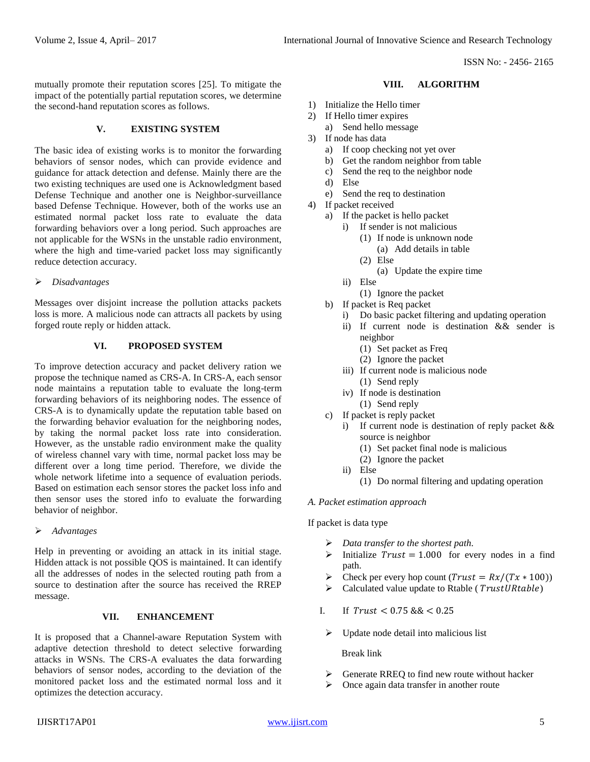mutually promote their reputation scores [25]. To mitigate the impact of the potentially partial reputation scores, we determine the second-hand reputation scores as follows.

#### **V. EXISTING SYSTEM**

The basic idea of existing works is to monitor the forwarding behaviors of sensor nodes, which can provide evidence and guidance for attack detection and defense. Mainly there are the two existing techniques are used one is Acknowledgment based Defense Technique and another one is Neighbor-surveillance based Defense Technique. However, both of the works use an estimated normal packet loss rate to evaluate the data forwarding behaviors over a long period. Such approaches are not applicable for the WSNs in the unstable radio environment, where the high and time-varied packet loss may significantly reduce detection accuracy.

#### *Disadvantages*

Messages over disjoint increase the pollution attacks packets loss is more. A malicious node can attracts all packets by using forged route reply or hidden attack.

# **VI. PROPOSED SYSTEM**

To improve detection accuracy and packet delivery ration we propose the technique named as CRS-A. In CRS-A, each sensor node maintains a reputation table to evaluate the long-term forwarding behaviors of its neighboring nodes. The essence of CRS-A is to dynamically update the reputation table based on the forwarding behavior evaluation for the neighboring nodes, by taking the normal packet loss rate into consideration. However, as the unstable radio environment make the quality of wireless channel vary with time, normal packet loss may be different over a long time period. Therefore, we divide the whole network lifetime into a sequence of evaluation periods. Based on estimation each sensor stores the packet loss info and then sensor uses the stored info to evaluate the forwarding behavior of neighbor.

*Advantages*

Help in preventing or avoiding an attack in its initial stage. Hidden attack is not possible QOS is maintained. It can identify all the addresses of nodes in the selected routing path from a source to destination after the source has received the RREP message.

## **VII. ENHANCEMENT**

It is proposed that a Channel-aware Reputation System with adaptive detection threshold to detect selective forwarding attacks in WSNs. The CRS-A evaluates the data forwarding behaviors of sensor nodes, according to the deviation of the monitored packet loss and the estimated normal loss and it optimizes the detection accuracy.

## **VIII. ALGORITHM**

- 1) Initialize the Hello timer
- 2) If Hello timer expires
	- a) Send hello message
- 3) If node has data
	- a) If coop checking not yet over
	- b) Get the random neighbor from table
	- c) Send the req to the neighbor node
	- d) Else
	- e) Send the req to destination
- 4) If packet received
	- a) If the packet is hello packet
		- i) If sender is not malicious
			- (1) If node is unknown node (a) Add details in table
			- (2) Else
				- (a) Update the expire time
		- ii) Else
			- (1) Ignore the packet
	- b) If packet is Req packet
		- i) Do basic packet filtering and updating operation
		- ii) If current node is destination && sender is neighbor
			- (1) Set packet as Freq
			- (2) Ignore the packet
		- iii) If current node is malicious node
			- (1) Send reply
		- iv) If node is destination
		- (1) Send reply
	- c) If packet is reply packet
		- i) If current node is destination of reply packet && source is neighbor
			- (1) Set packet final node is malicious
			- (2) Ignore the packet
		- ii) Else
			- (1) Do normal filtering and updating operation

# *A. Packet estimation approach*

If packet is data type

- *Data transfer to the shortest path.*
- ightharpoonup in its initialize  $Trust = 1.000$  for every nodes in a find path.
- Example 1 Check per every hop count  $(Trust = Rx/(Tx * 100))$
- $\triangleright$  Calculated value update to Rtable (*TrustURtable*)
- I. If  $Trust < 0.75$  &  $< 0.25$ 
	- $\triangleright$  Update node detail into malicious list

Break link

- $\triangleright$  Generate RREQ to find new route without hacker
- $\triangleright$  Once again data transfer in another route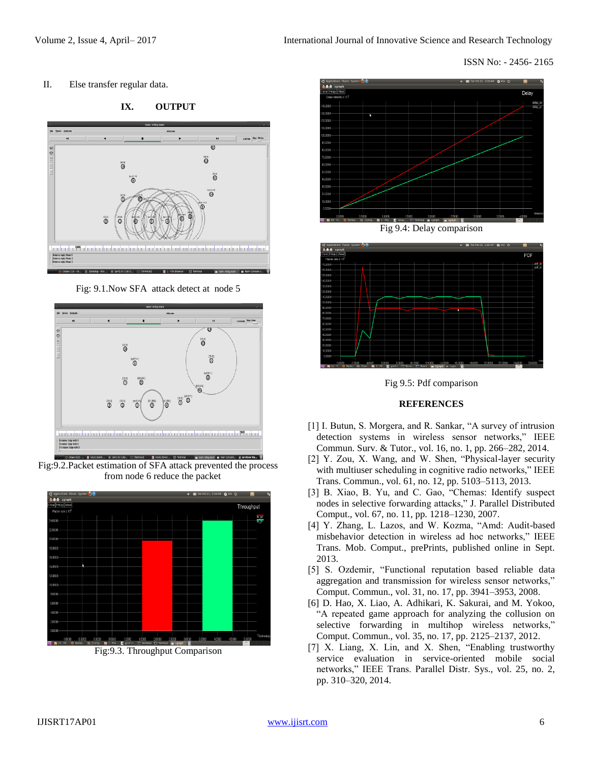II. Else transfer regular data.



**IX. OUTPUT**

Fig: 9.1.Now SFA attack detect at node 5



Fig:9.2.Packet estimation of SFA attack prevented the process from node 6 reduce the packet



Fig:9.3. Throughput Comparison





Fig 9.5: Pdf comparison

# **REFERENCES**

- [1] I. Butun, S. Morgera, and R. Sankar, "A survey of intrusion detection systems in wireless sensor networks," IEEE Commun. Surv. & Tutor., vol. 16, no. 1, pp. 266–282, 2014.
- [2] Y. Zou, X. Wang, and W. Shen, "Physical-layer security with multiuser scheduling in cognitive radio networks," IEEE Trans. Commun., vol. 61, no. 12, pp. 5103–5113, 2013.
- [3] B. Xiao, B. Yu, and C. Gao, "Chemas: Identify suspect nodes in selective forwarding attacks," J. Parallel Distributed Comput., vol. 67, no. 11, pp. 1218–1230, 2007.
- [4] Y. Zhang, L. Lazos, and W. Kozma, "Amd: Audit-based misbehavior detection in wireless ad hoc networks," IEEE Trans. Mob. Comput., prePrints, published online in Sept. 2013.
- [5] S. Ozdemir, "Functional reputation based reliable data aggregation and transmission for wireless sensor networks," Comput. Commun., vol. 31, no. 17, pp. 3941–3953, 2008.
- [6] D. Hao, X. Liao, A. Adhikari, K. Sakurai, and M. Yokoo, "A repeated game approach for analyzing the collusion on selective forwarding in multihop wireless networks," Comput. Commun., vol. 35, no. 17, pp. 2125–2137, 2012.
- [7] X. Liang, X. Lin, and X. Shen, "Enabling trustworthy service evaluation in service-oriented mobile social networks," IEEE Trans. Parallel Distr. Sys., vol. 25, no. 2, pp. 310–320, 2014.